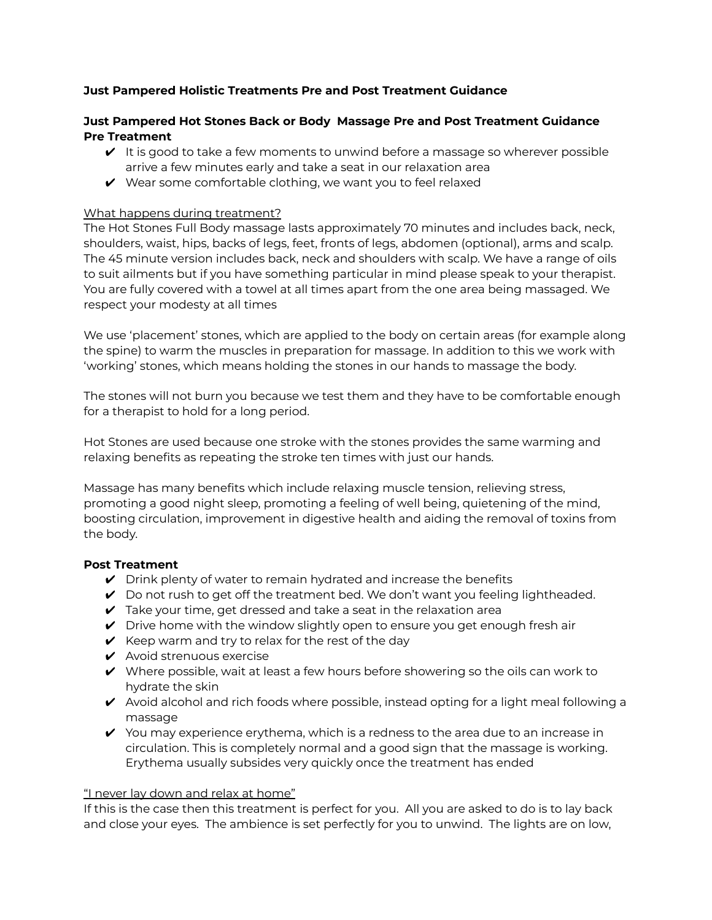# **Just Pampered Holistic Treatments Pre and Post Treatment Guidance**

### **Just Pampered Hot Stones Back or Body Massage Pre and Post Treatment Guidance Pre Treatment**

- $\vee$  It is good to take a few moments to unwind before a massage so wherever possible arrive a few minutes early and take a seat in our relaxation area
- $\vee$  Wear some comfortable clothing, we want you to feel relaxed

### What happens during treatment?

The Hot Stones Full Body massage lasts approximately 70 minutes and includes back, neck, shoulders, waist, hips, backs of legs, feet, fronts of legs, abdomen (optional), arms and scalp. The 45 minute version includes back, neck and shoulders with scalp. We have a range of oils to suit ailments but if you have something particular in mind please speak to your therapist. You are fully covered with a towel at all times apart from the one area being massaged. We respect your modesty at all times

We use 'placement' stones, which are applied to the body on certain areas (for example along the spine) to warm the muscles in preparation for massage. In addition to this we work with 'working' stones, which means holding the stones in our hands to massage the body.

The stones will not burn you because we test them and they have to be comfortable enough for a therapist to hold for a long period.

Hot Stones are used because one stroke with the stones provides the same warming and relaxing benefits as repeating the stroke ten times with just our hands.

Massage has many benefits which include relaxing muscle tension, relieving stress, promoting a good night sleep, promoting a feeling of well being, quietening of the mind, boosting circulation, improvement in digestive health and aiding the removal of toxins from the body.

### **Post Treatment**

- $\vee$  Drink plenty of water to remain hydrated and increase the benefits
- $\vee$  Do not rush to get off the treatment bed. We don't want you feeling lightheaded.
- $\triangleright$  Take your time, get dressed and take a seat in the relaxation area
- $\vee$  Drive home with the window slightly open to ensure you get enough fresh air
- $\vee$  Keep warm and try to relax for the rest of the day
- $\boldsymbol{\checkmark}$  Avoid strenuous exercise
- $\vee$  Where possible, wait at least a few hours before showering so the oils can work to hydrate the skin
- $\blacktriangleright$  Avoid alcohol and rich foods where possible, instead opting for a light meal following a massage
- $\vee$  You may experience erythema, which is a redness to the area due to an increase in circulation. This is completely normal and a good sign that the massage is working. Erythema usually subsides very quickly once the treatment has ended

#### "I never lay down and relax at home"

If this is the case then this treatment is perfect for you. All you are asked to do is to lay back and close your eyes. The ambience is set perfectly for you to unwind. The lights are on low,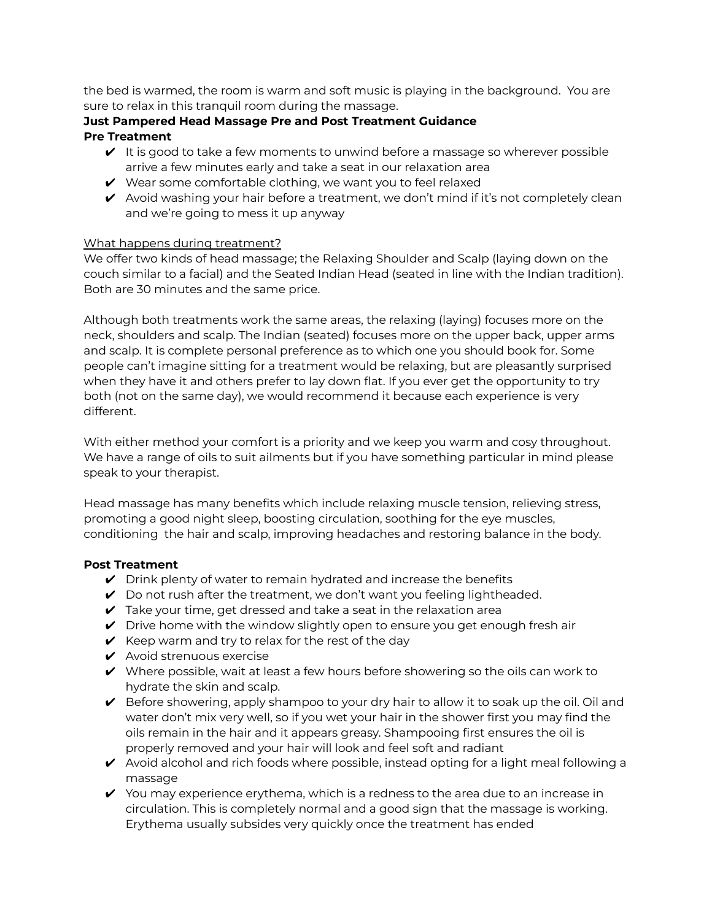the bed is warmed, the room is warm and soft music is playing in the background. You are sure to relax in this tranquil room during the massage.

### **Just Pampered Head Massage Pre and Post Treatment Guidance Pre Treatment**

- $\vee$  It is good to take a few moments to unwind before a massage so wherever possible arrive a few minutes early and take a seat in our relaxation area
- $\vee$  Wear some comfortable clothing, we want you to feel relaxed
- $\blacktriangleright$  Avoid washing your hair before a treatment, we don't mind if it's not completely clean and we're going to mess it up anyway

# What happens during treatment?

We offer two kinds of head massage; the Relaxing Shoulder and Scalp (laying down on the couch similar to a facial) and the Seated Indian Head (seated in line with the Indian tradition). Both are 30 minutes and the same price.

Although both treatments work the same areas, the relaxing (laying) focuses more on the neck, shoulders and scalp. The Indian (seated) focuses more on the upper back, upper arms and scalp. It is complete personal preference as to which one you should book for. Some people can't imagine sitting for a treatment would be relaxing, but are pleasantly surprised when they have it and others prefer to lay down flat. If you ever get the opportunity to try both (not on the same day), we would recommend it because each experience is very different.

With either method your comfort is a priority and we keep you warm and cosy throughout. We have a range of oils to suit ailments but if you have something particular in mind please speak to your therapist.

Head massage has many benefits which include relaxing muscle tension, relieving stress, promoting a good night sleep, boosting circulation, soothing for the eye muscles, conditioning the hair and scalp, improving headaches and restoring balance in the body.

# **Post Treatment**

- $\vee$  Drink plenty of water to remain hydrated and increase the benefits
- $\vee$  Do not rush after the treatment, we don't want you feeling lightheaded.
- $\triangleright$  Take your time, get dressed and take a seat in the relaxation area
- $\vee$  Drive home with the window slightly open to ensure you get enough fresh air
- $\vee$  Keep warm and try to relax for the rest of the day
- $\boldsymbol{\checkmark}$  Avoid strenuous exercise
- $\vee$  Where possible, wait at least a few hours before showering so the oils can work to hydrate the skin and scalp.
- $\vee$  Before showering, apply shampoo to your dry hair to allow it to soak up the oil. Oil and water don't mix very well, so if you wet your hair in the shower first you may find the oils remain in the hair and it appears greasy. Shampooing first ensures the oil is properly removed and your hair will look and feel soft and radiant
- $\triangledown$  Avoid alcohol and rich foods where possible, instead opting for a light meal following a massage
- $\vee$  You may experience erythema, which is a redness to the area due to an increase in circulation. This is completely normal and a good sign that the massage is working. Erythema usually subsides very quickly once the treatment has ended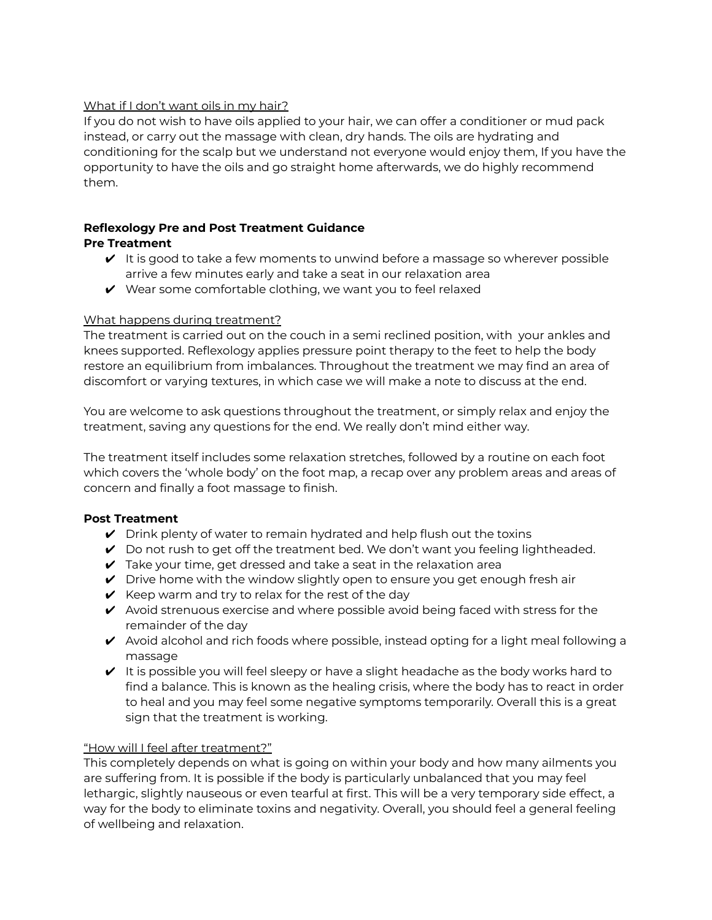# What if I don't want oils in my hair?

If you do not wish to have oils applied to your hair, we can offer a conditioner or mud pack instead, or carry out the massage with clean, dry hands. The oils are hydrating and conditioning for the scalp but we understand not everyone would enjoy them, If you have the opportunity to have the oils and go straight home afterwards, we do highly recommend them.

### **Reflexology Pre and Post Treatment Guidance Pre Treatment**

- $\vee$  It is good to take a few moments to unwind before a massage so wherever possible arrive a few minutes early and take a seat in our relaxation area
- $\vee$  Wear some comfortable clothing, we want you to feel relaxed

# What happens during treatment?

The treatment is carried out on the couch in a semi reclined position, with your ankles and knees supported. Reflexology applies pressure point therapy to the feet to help the body restore an equilibrium from imbalances. Throughout the treatment we may find an area of discomfort or varying textures, in which case we will make a note to discuss at the end.

You are welcome to ask questions throughout the treatment, or simply relax and enjoy the treatment, saving any questions for the end. We really don't mind either way.

The treatment itself includes some relaxation stretches, followed by a routine on each foot which covers the 'whole body' on the foot map, a recap over any problem areas and areas of concern and finally a foot massage to finish.

# **Post Treatment**

- $\triangledown$  Drink plenty of water to remain hydrated and help flush out the toxins
- $\vee$  Do not rush to get off the treatment bed. We don't want you feeling lightheaded.
- $\vee$  Take your time, get dressed and take a seat in the relaxation area
- $\vee$  Drive home with the window slightly open to ensure you get enough fresh air
- $\vee$  Keep warm and try to relax for the rest of the day
- $\checkmark$  Avoid strenuous exercise and where possible avoid being faced with stress for the remainder of the day
- $\triangledown$  Avoid alcohol and rich foods where possible, instead opting for a light meal following a massage
- $\vee$  It is possible you will feel sleepy or have a slight headache as the body works hard to find a balance. This is known as the healing crisis, where the body has to react in order to heal and you may feel some negative symptoms temporarily. Overall this is a great sign that the treatment is working.

# "How will I feel after treatment?"

This completely depends on what is going on within your body and how many ailments you are suffering from. It is possible if the body is particularly unbalanced that you may feel lethargic, slightly nauseous or even tearful at first. This will be a very temporary side effect, a way for the body to eliminate toxins and negativity. Overall, you should feel a general feeling of wellbeing and relaxation.